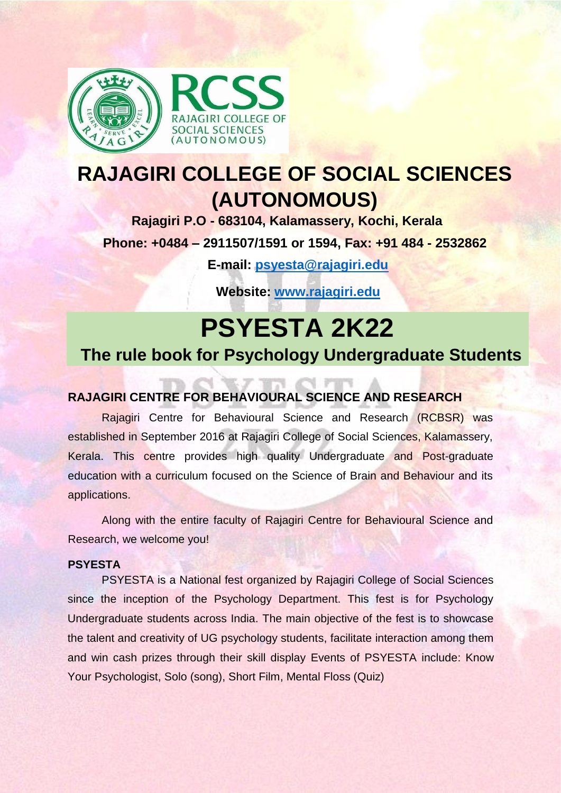

## **RAJAGIRI COLLEGE OF SOCIAL SCIENCES (AUTONOMOUS)**

**Rajagiri P.O - 683104, Kalamassery, Kochi, Kerala Phone: +0484 – 2911507/1591 or 1594, Fax: +91 484 - 2532862**

**E-mail: [psyesta@rajagiri.edu](mailto:psyesta@rajagiri.edu)**

**Website: [www.rajagiri.edu](http://www.rajagiri.edu/)**

# **PSYESTA 2K22**

## **The rule book for Psychology Undergraduate Students**

## **RAJAGIRI CENTRE FOR BEHAVIOURAL SCIENCE AND RESEARCH**

Rajagiri Centre for Behavioural Science and Research (RCBSR) was established in September 2016 at Rajagiri College of Social Sciences, Kalamassery, Kerala. This centre provides high quality Undergraduate and Post-graduate education with a curriculum focused on the Science of Brain and Behaviour and its applications.

Along with the entire faculty of Rajagiri Centre for Behavioural Science and Research, we welcome you!

#### **PSYESTA**

PSYESTA is a National fest organized by Rajagiri College of Social Sciences since the inception of the Psychology Department. This fest is for Psychology Undergraduate students across India. The main objective of the fest is to showcase the talent and creativity of UG psychology students, facilitate interaction among them and win cash prizes through their skill display Events of PSYESTA include: Know Your Psychologist, Solo (song), Short Film, Mental Floss (Quiz)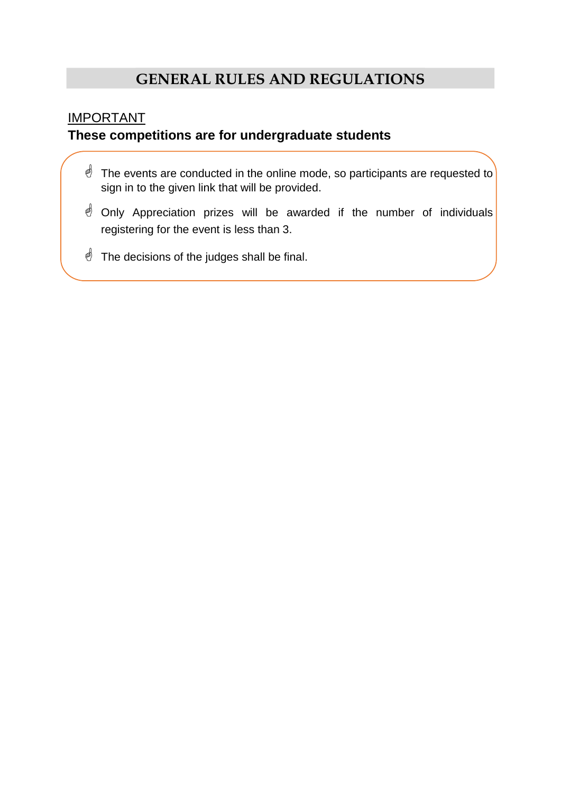## **GENERAL RULES AND REGULATIONS**

#### IMPORTANT

## **These competitions are for undergraduate students**

- $\mathbf{\mathcal{L}}$  The events are conducted in the online mode, so participants are requested to sign in to the given link that will be provided.
- **J** Only Appreciation prizes will be awarded if the number of individuals registering for the event is less than 3.
- $\stackrel{\triangle}{\sim}$  The decisions of the judges shall be final.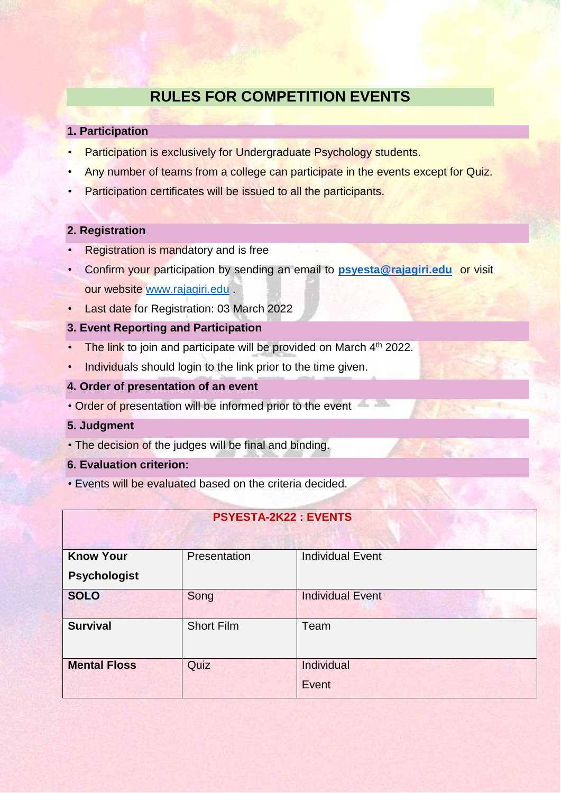## **RULES FOR COMPETITION EVENTS**

#### **1. Participation**

- Participation is exclusively for Undergraduate Psychology students.
- Any number of teams from a college can participate in the events except for Quiz.
- Participation certificates will be issued to all the participants.

#### **2. Registration**

- Registration is mandatory and is free
- Confirm your participation by sending an email to **[psyesta@rajagiri.edu](mailto:psyesta@rajagiri.edu)** or visit our website [www.rajagiri.edu](http://www.rajagiri.edu/) .
- Last date for Registration: 03 March 2022
- **3. Event Reporting and Participation**
- The link to join and participate will be provided on March 4<sup>th</sup> 2022.
- Individuals should login to the link prior to the time given.
- **4. Order of presentation of an event**
- Order of presentation will be informed prior to the event

#### **5. Judgment**

- The decision of the judges will be final and binding.
- **6. Evaluation criterion:**
- Events will be evaluated based on the criteria decided.

| <b>PSYESTA-2K22: EVENTS</b>             |                   |                         |
|-----------------------------------------|-------------------|-------------------------|
| <b>Know Your</b><br><b>Psychologist</b> | Presentation      | <b>Individual Event</b> |
| <b>SOLO</b>                             | Song              | <b>Individual Event</b> |
| <b>Survival</b>                         | <b>Short Film</b> | Team                    |
| <b>Mental Floss</b>                     | Quiz              | Individual<br>Event     |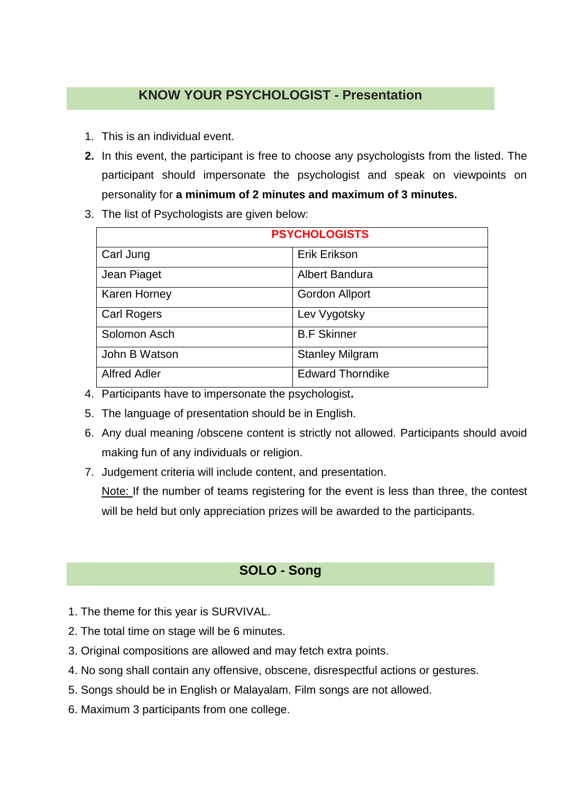## **KNOW YOUR PSYCHOLOGIST - Presentation**

- 1. This is an individual event.
- **2.** In this event, the participant is free to choose any psychologists from the listed. The participant should impersonate the psychologist and speak on viewpoints on personality for **a minimum of 2 minutes and maximum of 3 minutes.**
- 3. The list of Psychologists are given below:

| <b>PSYCHOLOGISTS</b> |                         |
|----------------------|-------------------------|
| Carl Jung            | Erik Erikson            |
| Jean Piaget          | Albert Bandura          |
| <b>Karen Horney</b>  | <b>Gordon Allport</b>   |
| <b>Carl Rogers</b>   | Lev Vygotsky            |
| Solomon Asch         | <b>B.F Skinner</b>      |
| John B Watson        | <b>Stanley Milgram</b>  |
| <b>Alfred Adler</b>  | <b>Edward Thorndike</b> |

- 4. Participants have to impersonate the psychologist**.**
- 5. The language of presentation should be in English.
- 6. Any dual meaning /obscene content is strictly not allowed. Participants should avoid making fun of any individuals or religion.
- 7. Judgement criteria will include content, and presentation.

Note: If the number of teams registering for the event is less than three, the contest will be held but only appreciation prizes will be awarded to the participants.

## **SOLO - Song**

- 1. The theme for this year is SURVIVAL.
- 2. The total time on stage will be 6 minutes.
- 3. Original compositions are allowed and may fetch extra points.
- 4. No song shall contain any offensive, obscene, disrespectful actions or gestures.
- 5. Songs should be in English or Malayalam. Film songs are not allowed.
- 6. Maximum 3 participants from one college.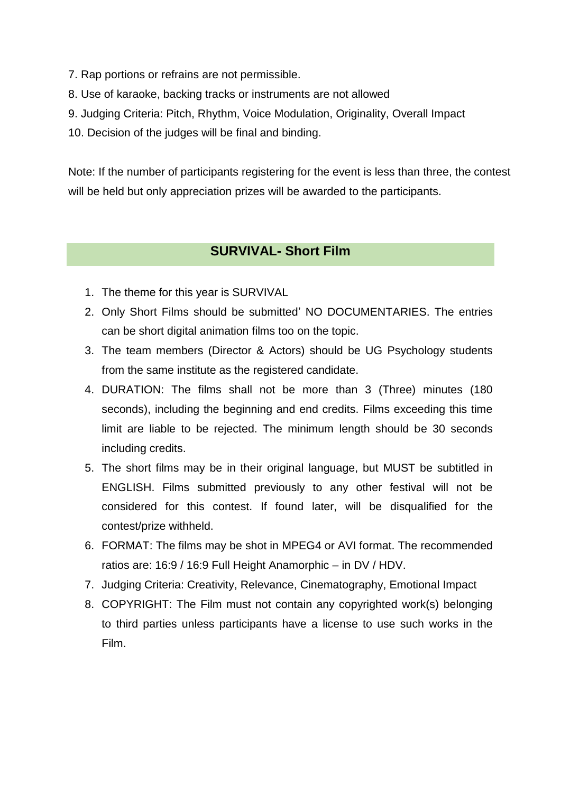- 7. Rap portions or refrains are not permissible.
- 8. Use of karaoke, backing tracks or instruments are not allowed
- 9. Judging Criteria: Pitch, Rhythm, Voice Modulation, Originality, Overall Impact
- 10. Decision of the judges will be final and binding.

Note: If the number of participants registering for the event is less than three, the contest will be held but only appreciation prizes will be awarded to the participants.

#### **SURVIVAL- Short Film**

- 1. The theme for this year is SURVIVAL
- 2. Only Short Films should be submitted' NO DOCUMENTARIES. The entries can be short digital animation films too on the topic.
- 3. The team members (Director & Actors) should be UG Psychology students from the same institute as the registered candidate.
- 4. DURATION: The films shall not be more than 3 (Three) minutes (180 seconds), including the beginning and end credits. Films exceeding this time limit are liable to be rejected. The minimum length should be 30 seconds including credits.
- 5. The short films may be in their original language, but MUST be subtitled in ENGLISH. Films submitted previously to any other festival will not be considered for this contest. If found later, will be disqualified for the contest/prize withheld.
- 6. FORMAT: The films may be shot in MPEG4 or AVI format. The recommended ratios are: 16:9 / 16:9 Full Height Anamorphic – in DV / HDV.
- 7. Judging Criteria: Creativity, Relevance, Cinematography, Emotional Impact
- 8. COPYRIGHT: The Film must not contain any copyrighted work(s) belonging to third parties unless participants have a license to use such works in the Film.